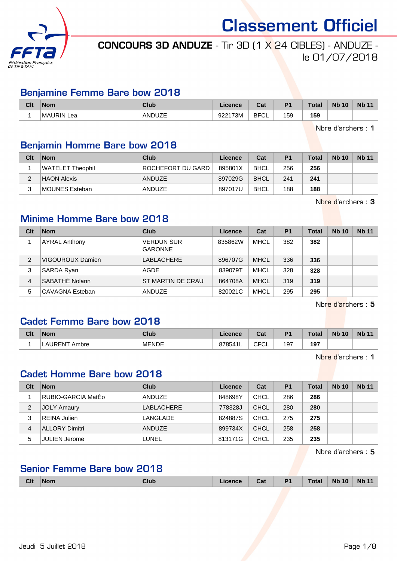

# CONCOURS 3D ANDUZE - Tir 3D (1 X 24 CIBLES) - ANDUZE le 01/07/2018

### Benjamine Femme Bare bow 2018

| Clt | <b>Nom</b>           | Club          | Licence           | ่∩ำง<br>val | D <sub>4</sub> | <b>Total</b> | <b>Nb 10</b> | <b>Nb</b> |
|-----|----------------------|---------------|-------------------|-------------|----------------|--------------|--------------|-----------|
|     | <b>MAURIN</b><br>∟еа | <b>ANDUZE</b> | 922173M<br>-944 L | <b>BFCL</b> | 159            | 159          |              |           |

Nbre d'archers : 1

### Benjamin Homme Bare bow 2018

| Clt | <b>Nom</b>       | Club              | Licence | Cat         | <b>P1</b> | Total | <b>Nb 10</b> | <b>Nb 11</b> |
|-----|------------------|-------------------|---------|-------------|-----------|-------|--------------|--------------|
|     | WATELET Theophil | ROCHEFORT DU GARD | 895801X | <b>BHCL</b> | 256       | 256   |              |              |
|     | HAON Alexis      | ANDUZE            | 897029G | <b>BHCL</b> | 241       | 241   |              |              |
| 2   | MOUNES Esteban   | <b>ANDUZE</b>     | 897017U | <b>BHCL</b> | 188       | 188   |              |              |

Nbre d'archers : 3

# Minime Homme Bare bow 2018

| Clt            | <b>Nom</b>           | Club                                | Licence | Cat         | <b>P1</b> | <b>Total</b> | <b>Nb 10</b> | <b>Nb 11</b> |
|----------------|----------------------|-------------------------------------|---------|-------------|-----------|--------------|--------------|--------------|
|                | <b>AYRAL Anthony</b> | <b>VERDUN SUR</b><br><b>GARONNE</b> | 835862W | <b>MHCL</b> | 382       | 382          |              |              |
| $\overline{2}$ | VIGOUROUX Damien     | LABLACHERE                          | 896707G | <b>MHCL</b> | 336       | 336          |              |              |
| 3              | <b>SARDA Ryan</b>    | AGDE                                | 839079T | <b>MHCL</b> | 328       | 328          |              |              |
| 4              | SABATHÉ Nolann       | ST MARTIN DE CRAU                   | 864708A | <b>MHCL</b> | 319       | 319          |              |              |
| 5              | CAVAGNA Esteban      | ANDUZE                              | 820021C | <b>MHCL</b> | 295       | 295          |              |              |

Nbre d'archers : 5

## Cadet Femme Bare bow 2018

| Clt | <b>Nom</b>       | Club         | icence         | ∩^∗<br>∪d.              | P <sub>1</sub> | <b>Total</b> | <b>Nb 10</b> | $Nb^4$ |
|-----|------------------|--------------|----------------|-------------------------|----------------|--------------|--------------|--------|
|     | ALIRENT<br>Ambre | <b>MENDE</b> | 8785411<br>. . | <b>CECI</b><br>◡г<br>◡∟ | 197            | 197<br>$ -$  |              |        |

Nbre d'archers : 1

#### Cadet Homme Bare bow 2018

| Clt            | <b>Nom</b>           | Club          | Licence | Cat         | <b>P1</b> | <b>Total</b> | <b>Nb 10</b> | <b>Nb 11</b> |
|----------------|----------------------|---------------|---------|-------------|-----------|--------------|--------------|--------------|
|                | RUBIO-GARCIA MatÉo   | <b>ANDUZE</b> | 848698Y | <b>CHCL</b> | 286       | 286          |              |              |
| 2              | <b>JOLY Amaury</b>   | LABLACHERE    | 778328J | CHCL        | 280       | 280          |              |              |
| 3              | REINA Julien         | LANGLADE      | 824887S | <b>CHCL</b> | 275       | 275          |              |              |
| $\overline{4}$ | ALLORY Dimitri       | <b>ANDUZE</b> | 899734X | <b>CHCL</b> | 258       | 258          |              |              |
| 5              | <b>JULIEN Jerome</b> | LUNEL         | 813171G | <b>CHCL</b> | 235       | 235          |              |              |

Nbre d'archers : 5

# Senior Femme Bare bow 2018

| <b>Clt</b> | <b>Nom</b> | <b>Club</b> | Licence | Cat | D <sub>1</sub><br>. . | Total | <b>Nb</b><br>10 | <b>Nb</b> |
|------------|------------|-------------|---------|-----|-----------------------|-------|-----------------|-----------|
|            |            |             |         |     |                       |       |                 |           |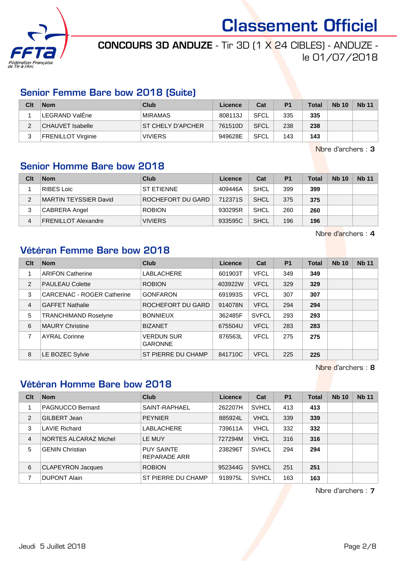

# CONCOURS 3D ANDUZE - Tir 3D (1 X 24 CIBLES) - ANDUZE le 01/07/2018

#### Senior Femme Bare bow 2018 (Suite)

| Clt      | <b>Nom</b>                | Club               | Licence | Cat         | P <sub>1</sub> | <b>Total</b> | <b>Nb 10</b> | <b>Nb 11</b> |
|----------|---------------------------|--------------------|---------|-------------|----------------|--------------|--------------|--------------|
|          | LEGRAND ValÉrie           | <b>MIRAMAS</b>     | 808113J | <b>SFCL</b> | 335            | 335          |              |              |
| <u>.</u> | <b>CHAUVET Isabelle</b>   | IST CHELY D'APCHER | 761510D | <b>SFCL</b> | 238            | 238          |              |              |
| 2<br>J   | <b>FRENILLOT Virginie</b> | <b>VIVIERS</b>     | 949628E | SFCL        | 143            | 143          |              |              |

Nbre d'archers : 3

# Senior Homme Bare bow 2018

| Clt | <b>Nom</b>                 | Club              | Licence | Cat  | P <sub>1</sub> | <b>Total</b> | <b>Nb 10</b> | <b>Nb 11</b> |
|-----|----------------------------|-------------------|---------|------|----------------|--------------|--------------|--------------|
|     | RIBES Loic                 | <b>ST ETIENNE</b> | 409446A | SHCL | 399            | 399          |              |              |
| າ   | MARTIN TEYSSIER David      | ROCHEFORT DU GARD | 712371S | SHCL | 375            | 375          |              |              |
| 3   | CABRERA Angel              | <b>ROBION</b>     | 930295R | SHCL | 260            | 260          |              |              |
| 4   | <b>FRENILLOT Alexandre</b> | <b>VIVIERS</b>    | 933595C | SHCL | 196            | 196          |              |              |

Nbre d'archers : 4

### Vétéran Femme Bare bow 2018

| Clt | <b>Nom</b>                        | <b>Club</b>                         | Licence | Cat          | <b>P1</b> | Total | <b>Nb 10</b> | <b>Nb 11</b> |
|-----|-----------------------------------|-------------------------------------|---------|--------------|-----------|-------|--------------|--------------|
|     | <b>ARIFON Catherine</b>           | <b>LABLACHERE</b>                   | 601903T | <b>VFCL</b>  | 349       | 349   |              |              |
| 2   | <b>PAULEAU Colette</b>            | <b>ROBION</b>                       | 403922W | <b>VFCL</b>  | 329       | 329   |              |              |
| 3   | <b>CARCENAC - ROGER Catherine</b> | <b>GONFARON</b>                     | 691993S | <b>VFCL</b>  | 307       | 307   |              |              |
| 4   | <b>GAFFET Nathalie</b>            | ROCHEFORT DU GARD                   | 914078N | <b>VFCL</b>  | 294       | 294   |              |              |
| 5   | <b>TRANCHIMAND Roselyne</b>       | <b>BONNIEUX</b>                     | 362485F | <b>SVFCL</b> | 293       | 293   |              |              |
| 6   | <b>MAURY Christine</b>            | <b>BIZANET</b>                      | 675504U | <b>VFCL</b>  | 283       | 283   |              |              |
| 7   | <b>AYRAL Corinne</b>              | <b>VERDUN SUR</b><br><b>GARONNE</b> | 876563L | <b>VFCL</b>  | 275       | 275   |              |              |
| 8   | LE BOZEC Sylvie                   | ST PIERRE DU CHAMP                  | 841710C | <b>VFCL</b>  | 225       | 225   |              |              |

Nbre d'archers : 8

# Vétéran Homme Bare bow 2018

| Clt            | <b>Nom</b>               | Club                                     | Licence | Cat          | <b>P1</b> | <b>Total</b> | <b>Nb 10</b> | <b>Nb 11</b> |
|----------------|--------------------------|------------------------------------------|---------|--------------|-----------|--------------|--------------|--------------|
|                | <b>PAGNUCCO Bernard</b>  | SAINT-RAPHAEL                            | 262207H | <b>SVHCL</b> | 413       | 413          |              |              |
| 2              | GILBERT Jean             | <b>PEYNIER</b>                           | 885924L | <b>VHCL</b>  | 339       | 339          |              |              |
| 3              | <b>LAVIE Richard</b>     | LABLACHERE                               | 739611A | <b>VHCL</b>  | 332       | 332          |              |              |
| $\overline{4}$ | NORTES ALCARAZ Michel    | LE MUY                                   | 727294M | <b>VHCL</b>  | 316       | 316          |              |              |
| 5              | <b>GENIN Christian</b>   | <b>PUY SAINTE</b><br><b>REPARADE ARR</b> | 238296T | <b>SVHCL</b> | 294       | 294          |              |              |
| 6              | <b>CLAPEYRON Jacques</b> | <b>ROBION</b>                            | 952344G | <b>SVHCL</b> | 251       | 251          |              |              |
| 7              | <b>DUPONT Alain</b>      | ST PIERRE DU CHAMP                       | 918975L | <b>SVHCL</b> | 163       | 163          |              |              |

Nbre d'archers : 7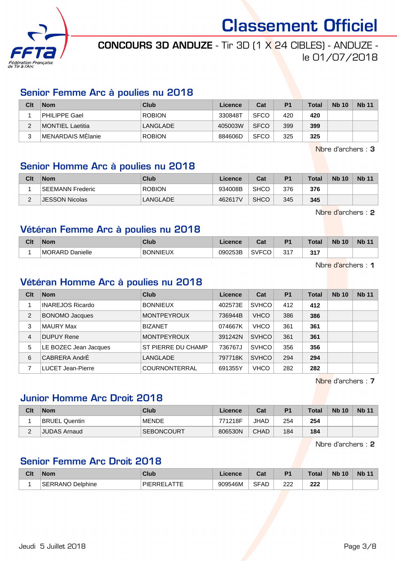

# CONCOURS 3D ANDUZE - Tir 3D (1 X 24 CIBLES) - ANDUZE le 01/07/2018

#### Senior Femme Arc à poulies nu 2018

| Clt | <b>Nom</b>              | Club          | Licence | Cat         | P <sub>1</sub> | <b>Total</b> | <b>Nb 10</b> | <b>Nb 11</b> |
|-----|-------------------------|---------------|---------|-------------|----------------|--------------|--------------|--------------|
|     | PHILIPPE Gael           | <b>ROBION</b> | 330848T | <b>SFCO</b> | 420            | 420          |              |              |
| ∠   | <b>MONTIEL Laetitia</b> | LANGLADE      | 405003W | <b>SFCO</b> | 399            | 399          |              |              |
| 2   | MENARDAIS MÉlanie       | <b>ROBION</b> | 884606D | <b>SFCO</b> | 325            | 325          |              |              |

Nbre d'archers : 3

# Senior Homme Arc à poulies nu 2018

| Clt      | <b>Nom</b>            | Club          | Licence | Cat         | P <sub>1</sub> | <b>Total</b> | <b>Nb 10</b> | <b>Nb 11</b> |
|----------|-----------------------|---------------|---------|-------------|----------------|--------------|--------------|--------------|
|          | SEEMANN Frederic      | <b>ROBION</b> | 934008B | <b>SHCO</b> | 376            | 376          |              |              |
| <u>.</u> | <b>JESSON Nicolas</b> | LANGLADE      | 462617V | <b>SHCO</b> | 345            | 345          |              |              |

Nbre d'archers : 2

### Vétéran Femme Arc à poulies nu 2018

| Clt | <b>Nom</b>                | Club                  | .icence | Col<br>va.                         | D <sub>4</sub> | <b>Total</b> | <b>Nb</b><br>10 | <b>Nb</b> |
|-----|---------------------------|-----------------------|---------|------------------------------------|----------------|--------------|-----------------|-----------|
|     | Danielle<br><b>MORARD</b> | <b>BONNIEUX</b><br>O۸ | 090253B | $\sim$ $\sim$ $\sim$<br>'⊤۷ګ<br>'∪ | 317            | 247          |                 |           |

Nbre d'archers : 1

# Vétéran Homme Arc à poulies nu 2018

| Clt | <b>Nom</b>               | Club                 | Licence | Cat          | P <sub>1</sub> | <b>Total</b> | <b>Nb 10</b> | <b>Nb 11</b> |
|-----|--------------------------|----------------------|---------|--------------|----------------|--------------|--------------|--------------|
|     | INAREJOS Ricardo         | <b>BONNIEUX</b>      | 402573E | <b>SVHCO</b> | 412            | 412          |              |              |
| 2   | <b>BONOMO Jacques</b>    | <b>MONTPEYROUX</b>   | 736944B | <b>VHCO</b>  | 386            | 386          |              |              |
| 3   | MAURY Max                | <b>BIZANET</b>       | 074667K | <b>VHCO</b>  | 361            | 361          |              |              |
| 4   | DUPUY Rene               | <b>MONTPEYROUX</b>   | 391242N | <b>SVHCO</b> | 361            | 361          |              |              |
| 5   | LE BOZEC Jean Jacques    | ST PIERRE DU CHAMP   | 736767J | <b>SVHCO</b> | 356            | 356          |              |              |
| 6   | CABRERA AndrÉ            | LANGLADE             | 797718K | <b>SVHCO</b> | 294            | 294          |              |              |
| 7   | <b>LUCET Jean-Pierre</b> | <b>COURNONTERRAL</b> | 691355Y | <b>VHCO</b>  | 282            | 282          |              |              |

Nbre d'archers : 7

# Junior Homme Arc Droit 2018

| Clt         | <b>Nom</b>           | Club              | Licence | Cat         | P <sub>1</sub> | <b>Total</b> | <b>Nb 10</b> | <b>Nb 11</b> |
|-------------|----------------------|-------------------|---------|-------------|----------------|--------------|--------------|--------------|
|             | <b>BRUEL Quentin</b> | <b>MENDE</b>      | 771218F | <b>JHAD</b> | 254            | 254          |              |              |
| $\sim$<br>∠ | JUDAS Arnaud         | <b>SEBONCOURT</b> | 806530N | CHAD        | 184            | 184          |              |              |

Nbre d'archers : 2

#### Senior Femme Arc Droit 2018

| Clt | <b>Nom</b>       | <b>Club</b>    | .icence | והיה<br>va  | D.         | <b>Total</b> | <b>N<sub>b</sub></b><br>10 | <b>Nb 11</b> |
|-----|------------------|----------------|---------|-------------|------------|--------------|----------------------------|--------------|
|     | SERRANO Delphine | <b>DIEDDEI</b> | 909546M | <b>SFAD</b> | ר ה<br>222 | ິ<br>        |                            |              |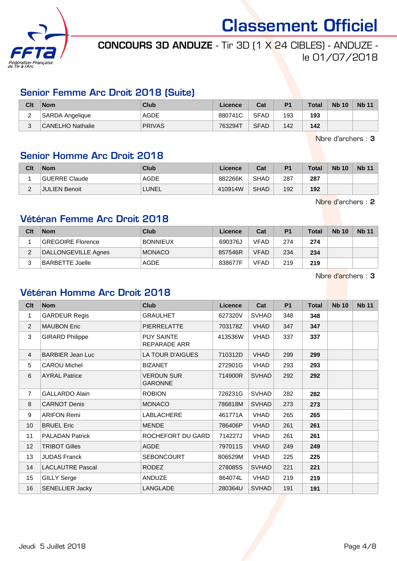

# CONCOURS 3D ANDUZE - Tir 3D (1 X 24 CIBLES) - ANDUZE le 01/07/2018

### Senior Femme Arc Droit 2018 (Suite)

| Clt    | <b>Nom</b>             | Club          | Licence | Cat         | P <sub>1</sub> | <b>Total</b> | <b>Nb 10</b> | <b>Nb 11</b> |
|--------|------------------------|---------------|---------|-------------|----------------|--------------|--------------|--------------|
| ⌒<br>_ | <b>SARDA Angelique</b> | <b>AGDE</b>   | 880741C | <b>SFAD</b> | 193            | 193          |              |              |
| ົ<br>ບ | CANELHO Nathalie       | <b>PRIVAS</b> | 763294T | <b>SFAD</b> | 142            | 142          |              |              |

Nbre d'archers : 3

## Senior Homme Arc Droit 2018

| Clt | <b>Nom</b>           | Club        | Licence | Cat         | P <sub>1</sub> | <b>Total</b> | <b>Nb 10</b> | <b>Nb 11</b> |
|-----|----------------------|-------------|---------|-------------|----------------|--------------|--------------|--------------|
|     | GUERRE Claude        | <b>AGDE</b> | 882266K | <b>SHAD</b> | 287            | 287          |              |              |
| -   | <b>JULIEN Benoit</b> | LUNEL       | 410914W | <b>SHAD</b> | 192            | 192          |              |              |

Nbre d'archers : 2

# Vétéran Femme Arc Droit 2018

| Clt | <b>Nom</b>               | Club            | Licence | Cat         | P <sub>1</sub> | <b>Total</b> | <b>Nb 10</b> | <b>Nb 11</b> |
|-----|--------------------------|-----------------|---------|-------------|----------------|--------------|--------------|--------------|
|     | <b>GREGOIRE Florence</b> | <b>BONNIEUX</b> | 690376J | <b>VFAD</b> | 274            | 274          |              |              |
|     | DALLONGEVILLE Agnes      | <b>MONACO</b>   | 857546R | <b>VFAD</b> | 234            | 234          |              |              |
|     | BARBETTE Joelle          | AGDE            | 838677F | <b>VFAD</b> | 219            | 219          |              |              |

Nbre d'archers : 3

#### Vétéran Homme Arc Droit 2018

| Clt            | <b>Nom</b>              | <b>Club</b>                         | Licence | Cat          | <b>P1</b> | Total | <b>Nb 10</b> | <b>Nb 11</b> |
|----------------|-------------------------|-------------------------------------|---------|--------------|-----------|-------|--------------|--------------|
| 1              | <b>GARDEUR Regis</b>    | <b>GRAULHET</b>                     | 627320V | <b>SVHAD</b> | 348       | 348   |              |              |
| 2              | <b>MAUBON Eric</b>      | PIERRELATTE                         | 703178Z | <b>VHAD</b>  | 347       | 347   |              |              |
| 3              | <b>GIRARD Philippe</b>  | <b>PUY SAINTE</b><br>REPARADE ARR   | 413536W | VHAD         | 337       | 337   |              |              |
| $\overline{4}$ | <b>BARBIER Jean Luc</b> | LA TOUR D'AIGUES                    | 710312D | <b>VHAD</b>  | 299       | 299   |              |              |
| 5              | <b>CAROU Michel</b>     | <b>BIZANET</b>                      | 272901G | VHAD         | 293       | 293   |              |              |
| 6              | <b>AYRAL Patrice</b>    | <b>VERDUN SUR</b><br><b>GARONNE</b> | 714900R | <b>SVHAD</b> | 292       | 292   |              |              |
| $\overline{7}$ | <b>GALLARDO Alain</b>   | <b>ROBION</b>                       | 726231G | <b>SVHAD</b> | 282       | 282   |              |              |
| 8              | <b>CARNOT Denis</b>     | <b>MONACO</b>                       | 786818M | <b>SVHAD</b> | 273       | 273   |              |              |
| 9              | <b>ARIFON Remi</b>      | LABLACHERE                          | 461771A | <b>VHAD</b>  | 265       | 265   |              |              |
| 10             | <b>BRUEL Eric</b>       | <b>MENDE</b>                        | 786406P | <b>VHAD</b>  | 261       | 261   |              |              |
| 11             | <b>PALADAN Patrick</b>  | ROCHEFORT DU GARD                   | 714227J | VHAD         | 261       | 261   |              |              |
| 12             | <b>TRIBOT Gilles</b>    | <b>AGDE</b>                         | 797011S | <b>VHAD</b>  | 249       | 249   |              |              |
| 13             | <b>JUDAS Franck</b>     | <b>SEBONCOURT</b>                   | 806529M | VHAD         | 225       | 225   |              |              |
| 14             | <b>LACLAUTRE Pascal</b> | <b>RODEZ</b>                        | 278085S | <b>SVHAD</b> | 221       | 221   |              |              |
| 15             | <b>GILLY Serge</b>      | ANDUZE                              | 864074L | VHAD         | 219       | 219   |              |              |
| 16             | <b>SENELLIER Jacky</b>  | LANGLADE                            | 280364U | <b>SVHAD</b> | 191       | 191   |              |              |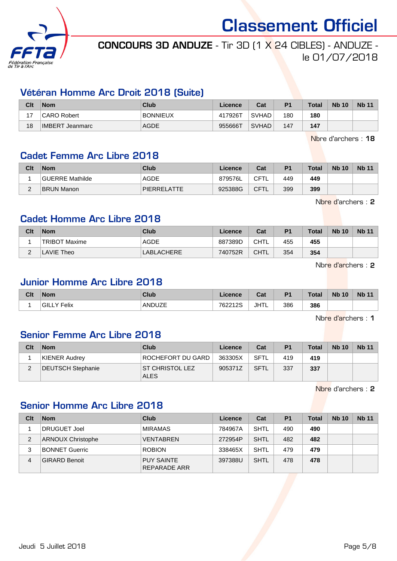

# CONCOURS 3D ANDUZE - Tir 3D (1 X 24 CIBLES) - ANDUZE le 01/07/2018

### Vétéran Homme Arc Droit 2018 (Suite)

| Clt | <b>Nom</b>      | Club            | Licence | Cat          | P <sub>1</sub> | <b>Total</b> | <b>Nb 10</b> | <b>Nb 11</b> |
|-----|-----------------|-----------------|---------|--------------|----------------|--------------|--------------|--------------|
| ៱   | CARO Robert     | <b>BONNIEUX</b> | 417926T | <b>SVHAD</b> | 180            | 180          |              |              |
| 18  | IMBERT Jeanmarc | <b>AGDE</b>     | 955666T | <b>SVHAD</b> | 147            | 147          |              |              |

Nbre d'archers : 18

#### Cadet Femme Arc Libre 2018

| Clt      | <b>Nom</b>      | Club               | Licence | Cat         | P <sub>1</sub> | <b>Total</b> | <b>Nb 10</b> | <b>Nb 11</b> |
|----------|-----------------|--------------------|---------|-------------|----------------|--------------|--------------|--------------|
|          | GUERRE Mathilde | AGDE               | 879576L | CFTL        | 449            | 449          |              |              |
| <u>_</u> | BRUN Manon      | <b>PIERRELATTE</b> | 925388G | <b>CFTL</b> | 399            | 399          |              |              |

Nbre d'archers : 2

### Cadet Homme Arc Libre 2018

| Clt      | <b>Nom</b>           | Club        | Licence | Cat         | P <sub>1</sub> | <b>Total</b> | <b>Nb 10</b> | <b>Nb 11</b> |
|----------|----------------------|-------------|---------|-------------|----------------|--------------|--------------|--------------|
|          | <b>TRIBOT Maxime</b> | <b>AGDE</b> | 887389D | <b>CHTL</b> | 455            | 455          |              |              |
| <u>_</u> | LAVIE Theo           | LABLACHERE  | 740752R | <b>CHTL</b> | 354            | 354          |              |              |

Nbre d'archers : 2

# Junior Homme Arc Libre 2018

| Clt | <b>Nom</b>          | Club   | Licence | $R_{\rm eff}$<br>ual | P <sub>1</sub> | Total | <b>N<sub>b</sub></b><br>10 | <b>Nb 11</b> |
|-----|---------------------|--------|---------|----------------------|----------------|-------|----------------------------|--------------|
|     | ∃GILL .<br>.Y Felix | ANDUZE | 762212S | JHTL                 | 386            | 386   |                            |              |

Nbre d'archers : 1

## Senior Femme Arc Libre 2018

| Clt | <b>Nom</b>        | <b>Club</b>                           | Licence | Cat         | P <sub>1</sub> | <b>Total</b> | <b>Nb 10</b> | <b>Nb 11</b> |
|-----|-------------------|---------------------------------------|---------|-------------|----------------|--------------|--------------|--------------|
|     | KIENER Audrey     | ROCHEFORT DU GARD                     | 363305X | <b>SFTL</b> | 419            | 419          |              |              |
|     | DEUTSCH Stephanie | <b>ST CHRISTOL LEZ</b><br><b>ALES</b> | 905371Z | <b>SFTL</b> | 337            | 337          |              |              |

Nbre d'archers : 2

## Senior Homme Arc Libre 2018

| Clt | <b>Nom</b>               | Club                              | Licence | Cat         | P <sub>1</sub> | <b>Total</b> | <b>Nb 10</b> | <b>Nb 11</b> |
|-----|--------------------------|-----------------------------------|---------|-------------|----------------|--------------|--------------|--------------|
|     | <b>DRUGUET Joel</b>      | <b>MIRAMAS</b>                    | 784967A | <b>SHTL</b> | 490            | 490          |              |              |
| 2   | <b>ARNOUX Christophe</b> | <b>VENTABREN</b>                  | 272954P | <b>SHTL</b> | 482            | 482          |              |              |
| 3   | <b>BONNET Guerric</b>    | <b>ROBION</b>                     | 338465X | <b>SHTL</b> | 479            | 479          |              |              |
| 4   | <b>GIRARD Benoit</b>     | <b>PUY SAINTE</b><br>REPARADE ARR | 397388U | <b>SHTL</b> | 478            | 478          |              |              |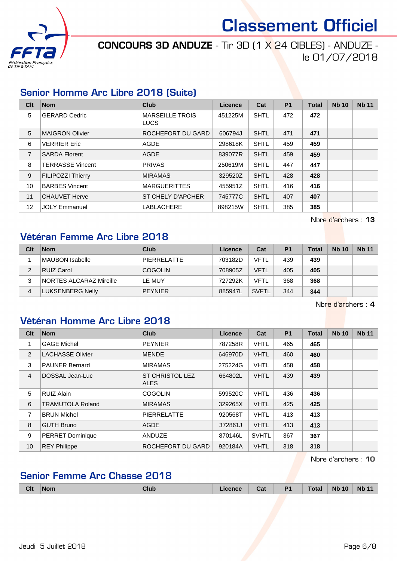

CONCOURS 3D ANDUZE - Tir 3D (1 X 24 CIBLES) - ANDUZE le 01/07/2018

### Senior Homme Arc Libre 2018 (Suite)

| Clt            | <b>Nom</b>               | <b>Club</b>                           | Licence | Cat         | P <sub>1</sub> | <b>Total</b> | <b>Nb 10</b> | <b>Nb 11</b> |
|----------------|--------------------------|---------------------------------------|---------|-------------|----------------|--------------|--------------|--------------|
| 5              | <b>GERARD Cedric</b>     | <b>MARSEILLE TROIS</b><br><b>LUCS</b> | 451225M | <b>SHTL</b> | 472            | 472          |              |              |
| 5              | <b>MAIGRON Olivier</b>   | ROCHEFORT DU GARD                     | 606794J | <b>SHTL</b> | 471            | 471          |              |              |
| 6              | <b>VERRIER Eric</b>      | AGDE                                  | 298618K | <b>SHTL</b> | 459            | 459          |              |              |
| $\overline{7}$ | <b>SARDA Florent</b>     | <b>AGDE</b>                           | 839077R | <b>SHTL</b> | 459            | 459          |              |              |
| 8              | <b>TERRASSE Vincent</b>  | <b>PRIVAS</b>                         | 250619M | <b>SHTL</b> | 447            | 447          |              |              |
| 9              | <b>FILIPOZZI Thierry</b> | <b>MIRAMAS</b>                        | 329520Z | <b>SHTL</b> | 428            | 428          |              |              |
| 10             | <b>BARBES Vincent</b>    | <b>MARGUERITTES</b>                   | 455951Z | <b>SHTL</b> | 416            | 416          |              |              |
| 11             | <b>CHAUVET Herve</b>     | <b>ST CHELY D'APCHER</b>              | 745777C | <b>SHTL</b> | 407            | 407          |              |              |
| 12             | <b>JOLY Emmanuel</b>     | <b>LABLACHERE</b>                     | 898215W | <b>SHTL</b> | 385            | 385          |              |              |

Nbre d'archers : 13

#### Vétéran Femme Arc Libre 2018

| Clt | <b>Nom</b>              | Club               | Licence | Cat          | P <sub>1</sub> | <b>Total</b> | <b>Nb 10</b> | <b>Nb 11</b> |
|-----|-------------------------|--------------------|---------|--------------|----------------|--------------|--------------|--------------|
|     | MAUBON Isabelle         | <b>PIERRELATTE</b> | 703182D | VFTL         | 439            | 439          |              |              |
|     | <b>RUIZ Carol</b>       | <b>COGOLIN</b>     | 708905Z | <b>VFTL</b>  | 405            | 405          |              |              |
| 3   | NORTES ALCARAZ Mireille | LE MUY             | 727292K | VFTL         | 368            | 368          |              |              |
| 4   | <b>LUKSENBERG Nelly</b> | <b>PEYNIER</b>     | 885947L | <b>SVFTL</b> | 344            | 344          |              |              |

Nbre d'archers : 4

# Vétéran Homme Arc Libre 2018

| Clt            | <b>Nom</b>              | <b>Club</b>                           | Licence | Cat          | <b>P1</b> | <b>Total</b> | <b>Nb 10</b> | <b>Nb 11</b> |
|----------------|-------------------------|---------------------------------------|---------|--------------|-----------|--------------|--------------|--------------|
| 1              | <b>GAGE Michel</b>      | <b>PEYNIER</b>                        | 787258R | <b>VHTL</b>  | 465       | 465          |              |              |
| 2              | <b>LACHASSE Olivier</b> | <b>MENDE</b>                          | 646970D | <b>VHTL</b>  | 460       | 460          |              |              |
| 3              | <b>PAUNER Bernard</b>   | <b>MIRAMAS</b>                        | 275224G | <b>VHTL</b>  | 458       | 458          |              |              |
| $\overline{4}$ | DOSSAL Jean-Luc         | <b>ST CHRISTOL LEZ</b><br><b>ALES</b> | 664802L | <b>VHTL</b>  | 439       | 439          |              |              |
| 5              | <b>RUIZ Alain</b>       | <b>COGOLIN</b>                        | 599520C | <b>VHTL</b>  | 436       | 436          |              |              |
| 6              | <b>TRAMUTOLA Roland</b> | <b>MIRAMAS</b>                        | 329265X | <b>VHTL</b>  | 425       | 425          |              |              |
| 7              | <b>BRUN Michel</b>      | <b>PIERRELATTE</b>                    | 920568T | <b>VHTL</b>  | 413       | 413          |              |              |
| 8              | <b>GUTH Bruno</b>       | <b>AGDE</b>                           | 372861J | <b>VHTL</b>  | 413       | 413          |              |              |
| 9              | <b>PERRET Dominique</b> | <b>ANDUZE</b>                         | 870146L | <b>SVHTL</b> | 367       | 367          |              |              |
| 10             | <b>REY Philippe</b>     | ROCHEFORT DU GARD                     | 920184A | <b>VHTL</b>  | 318       | 318          |              |              |

Nbre d'archers : 10

## Senior Femme Arc Chasse 2018

| <b>Clt</b> | <b>Nom</b> | <b>Clul</b> | Cat | D <sub>1</sub> | <b>Total</b> | 10<br><b>Nb</b> | <b>N<sub>b</sub></b><br>$\overline{\phantom{a}}$<br>. . |
|------------|------------|-------------|-----|----------------|--------------|-----------------|---------------------------------------------------------|
|            |            |             |     |                |              |                 |                                                         |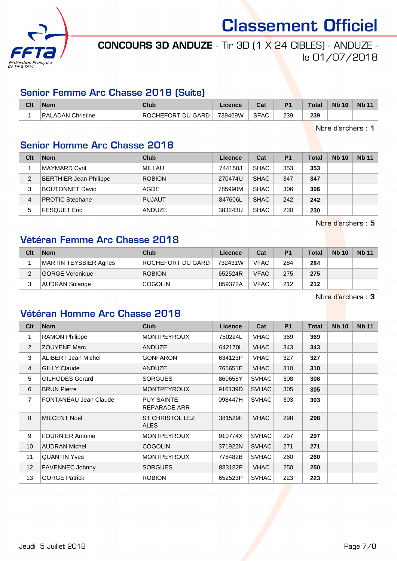

# CONCOURS 3D ANDUZE - Tir 3D (1 X 24 CIBLES) - ANDUZE le 01/07/2018

## Senior Femme Arc Chasse 2018 (Suite)

| Clt | <b>Nom</b>        | Club                               | <b>Licence</b> | יה<br>va.   | P <sub>1</sub> | Total | <b>Nb 10</b> | <b>Nb 11</b> |
|-----|-------------------|------------------------------------|----------------|-------------|----------------|-------|--------------|--------------|
|     | PALADAN Christine | <b>DU GARD</b><br><b>ROCHEFORT</b> | 739469W        | <b>SFAC</b> | 239            | 239   |              |              |

Nbre d'archers : 1

# Senior Homme Arc Chasse 2018

| Clt | <b>Nom</b>                    | Club          | Licence | Cat         | <b>P1</b> | Total | <b>Nb 10</b> | <b>Nb 11</b> |
|-----|-------------------------------|---------------|---------|-------------|-----------|-------|--------------|--------------|
|     | MAYMARD Cyril                 | MILLAU        | 744150J | <b>SHAC</b> | 353       | 353   |              |              |
| 2   | <b>BERTHIER Jean-Philippe</b> | <b>ROBION</b> | 270474U | <b>SHAC</b> | 347       | 347   |              |              |
| 3   | <b>BOUTONNET David</b>        | AGDE          | 785990M | <b>SHAC</b> | 306       | 306   |              |              |
| 4   | <b>PROTIC Stephane</b>        | <b>PUJAUT</b> | 847606L | <b>SHAC</b> | 242       | 242   |              |              |
| 5   | <b>FESQUET Eric</b>           | ANDUZE        | 383243U | <b>SHAC</b> | 230       | 230   |              |              |

Nbre d'archers : 5

## Vétéran Femme Arc Chasse 2018

| Clt | <b>Nom</b>            | Club              | Licence | Cat         | P <sub>1</sub> | <b>Total</b> | <b>Nb 10</b> | <b>Nb 11</b> |
|-----|-----------------------|-------------------|---------|-------------|----------------|--------------|--------------|--------------|
|     | MARTIN TEYSSIER Agnes | ROCHEFORT DU GARD | 732431W | <b>VFAC</b> | 284            | 284          |              |              |
|     | GORGE Veronique       | <b>ROBION</b>     | 652524R | <b>VFAC</b> | 275            | 275          |              |              |
| っ   | <b>AUDRAN Solange</b> | <b>COGOLIN</b>    | 859372A | <b>VFAC</b> | 212            | 212          |              |              |

Nbre d'archers : 3

## Vétéran Homme Arc Chasse 2018

| Clt            | <b>Nom</b>                   | <b>Club</b>                       | Licence | Cat          | <b>P1</b> | <b>Total</b> | <b>Nb 10</b> | <b>Nb 11</b> |
|----------------|------------------------------|-----------------------------------|---------|--------------|-----------|--------------|--------------|--------------|
| 1              | <b>RAMON Philippe</b>        | <b>MONTPEYROUX</b>                | 750224L | <b>VHAC</b>  | 369       | 369          |              |              |
| $\overline{2}$ | <b>ZOUYENE Marc</b>          | <b>ANDUZE</b>                     | 642170L | <b>VHAC</b>  | 343       | 343          |              |              |
| 3              | ALIBERT Jean Michel          | <b>GONFARON</b>                   | 634123P | <b>VHAC</b>  | 327       | 327          |              |              |
| 4              | <b>GILLY Claude</b>          | <b>ANDUZE</b>                     | 765651E | <b>VHAC</b>  | 310       | 310          |              |              |
| 5              | <b>GILHODES Gerard</b>       | <b>SORGUES</b>                    | 860658Y | <b>SVHAC</b> | 308       | 308          |              |              |
| 6              | <b>BRUN Pierre</b>           | <b>MONTPEYROUX</b>                | 916139D | <b>SVHAC</b> | 305       | 305          |              |              |
| $\overline{7}$ | <b>FONTANEAU Jean Claude</b> | <b>PUY SAINTE</b><br>REPARADE ARR | 098447H | <b>SVHAC</b> | 303       | 303          |              |              |
| 8              | <b>MILCENT Noel</b>          | ST CHRISTOL LEZ<br><b>ALES</b>    | 381529F | <b>VHAC</b>  | 298       | 298          |              |              |
| 9              | <b>FOURNIER Antoine</b>      | <b>MONTPEYROUX</b>                | 910774X | <b>SVHAC</b> | 297       | 297          |              |              |
| 10             | <b>AUDRAN Michel</b>         | <b>COGOLIN</b>                    | 371922N | <b>SVHAC</b> | 271       | 271          |              |              |
| 11             | <b>QUANTIN Yves</b>          | <b>MONTPEYROUX</b>                | 778482B | <b>SVHAC</b> | 260       | 260          |              |              |
| 12             | <b>FAVENNEC Johnny</b>       | SORGUES                           | 883182F | <b>VHAC</b>  | 250       | 250          |              |              |
| 13             | <b>GORGE Patrick</b>         | <b>ROBION</b>                     | 652523P | <b>SVHAC</b> | 223       | 223          |              |              |